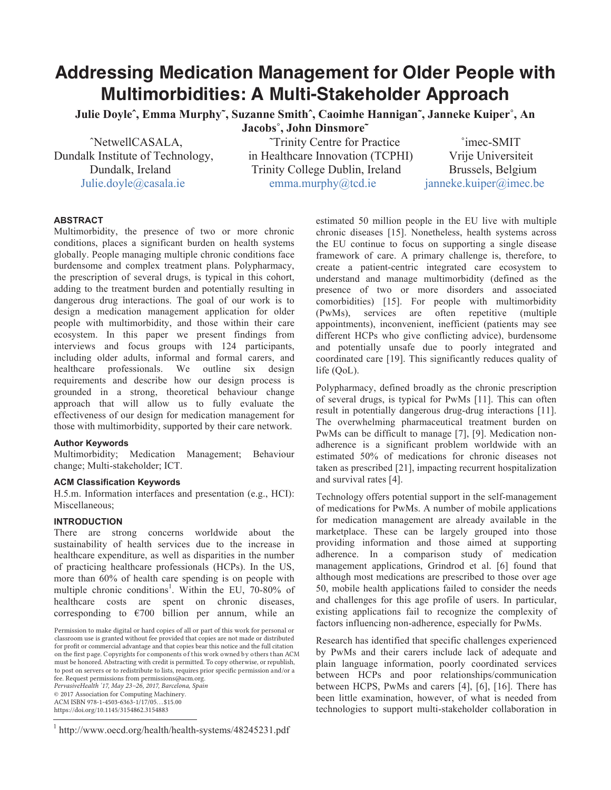# **Addressing Medication Management for Older People with Multimorbidities: A Multi-Stakeholder Approach**

**Julie Doyleˆ, Emma Murphy˜, Suzanne Smithˆ, Caoimhe Hannigan˜, Janneke Kuiper˚, An** 

**Jacobs˚, John Dinsmore˜** 

ˆNetwellCASALA, ˜Trinity Centre for Practice ˚imec-SMIT Dundalk Institute of Technology, in Healthcare Innovation (TCPHI) Vrije Universiteit Dundalk, Ireland Trinity College Dublin, Ireland Brussels, Belgium Julie.doyle@casala.ie emma.murphy@tcd.ie janneke.kuiper@imec.be

# **ABSTRACT**

Multimorbidity, the presence of two or more chronic conditions, places a significant burden on health systems globally. People managing multiple chronic conditions face burdensome and complex treatment plans. Polypharmacy, the prescription of several drugs, is typical in this cohort, adding to the treatment burden and potentially resulting in dangerous drug interactions. The goal of our work is to design a medication management application for older people with multimorbidity, and those within their care ecosystem. In this paper we present findings from interviews and focus groups with 124 participants, including older adults, informal and formal carers, and healthcare professionals. We outline six design requirements and describe how our design process is grounded in a strong, theoretical behaviour change approach that will allow us to fully evaluate the effectiveness of our design for medication management for those with multimorbidity, supported by their care network.

## **Author Keywords**

Multimorbidity; Medication Management; Behaviour change; Multi-stakeholder; ICT.

# **ACM Classification Keywords**

H.5.m. Information interfaces and presentation (e.g., HCI): Miscellaneous;

# **INTRODUCTION**

There are strong concerns worldwide about the sustainability of health services due to the increase in healthcare expenditure, as well as disparities in the number of practicing healthcare professionals (HCPs). In the US, more than 60% of health care spending is on people with multiple chronic conditions<sup>1</sup>. Within the EU, 70-80% of healthcare costs are spent on chronic diseases, corresponding to  $\epsilon$ 700 billion per annum, while an

PervasiveHealth '17, May 23-26, 2017, Barcelona, Spain

© 2017 Association for Computing Machinery.

ACM ISBN 978-1-4503-6363-1/17/05...\$15.00

https://doi.org/10.1145/3154862.3154883

estimated 50 million people in the EU live with multiple chronic diseases [15]. Nonetheless, health systems across the EU continue to focus on supporting a single disease framework of care. A primary challenge is, therefore, to create a patient-centric integrated care ecosystem to understand and manage multimorbidity (defined as the presence of two or more disorders and associated comorbidities) [15]. For people with multimorbidity (PwMs), services are often repetitive (multiple appointments), inconvenient, inefficient (patients may see different HCPs who give conflicting advice), burdensome and potentially unsafe due to poorly integrated and coordinated care [19]. This significantly reduces quality of life (OoL).

Polypharmacy, defined broadly as the chronic prescription of several drugs, is typical for PwMs [11]. This can often result in potentially dangerous drug-drug interactions [11]. The overwhelming pharmaceutical treatment burden on PwMs can be difficult to manage [7], [9]. Medication nonadherence is a significant problem worldwide with an estimated 50% of medications for chronic diseases not taken as prescribed [21], impacting recurrent hospitalization and survival rates [4].

Technology offers potential support in the self-management of medications for PwMs. A number of mobile applications for medication management are already available in the marketplace. These can be largely grouped into those providing information and those aimed at supporting adherence. In a comparison study of medication management applications, Grindrod et al. [6] found that although most medications are prescribed to those over age 50, mobile health applications failed to consider the needs and challenges for this age profile of users. In particular, existing applications fail to recognize the complexity of factors influencing non-adherence, especially for PwMs.

Research has identified that specific challenges experienced by PwMs and their carers include lack of adequate and plain language information, poorly coordinated services between HCPs and poor relationships/communication between HCPS, PwMs and carers [4], [6], [16]. There has been little examination, however, of what is needed from technologies to support multi-stakeholder collaboration in

Permission to make digital or hard copies of all or part of this work for personal or classroom use is granted without fee provided that copies are not made or distributed for profit or commercial advantage and that copies bear this notice and the full citation on the first page. Copyrights for components of this work owned by others than  $\operatorname{ACM}$ must be honored. Abstracting with credit is permitted. To copy otherwise, or republish, to post on servers or to redistribute to lists, requires prior specific permission and/or a fee. Request permissions from permissions@acm.org.

<sup>1</sup> http://www.oecd.org/health/health-systems/48245231.pdf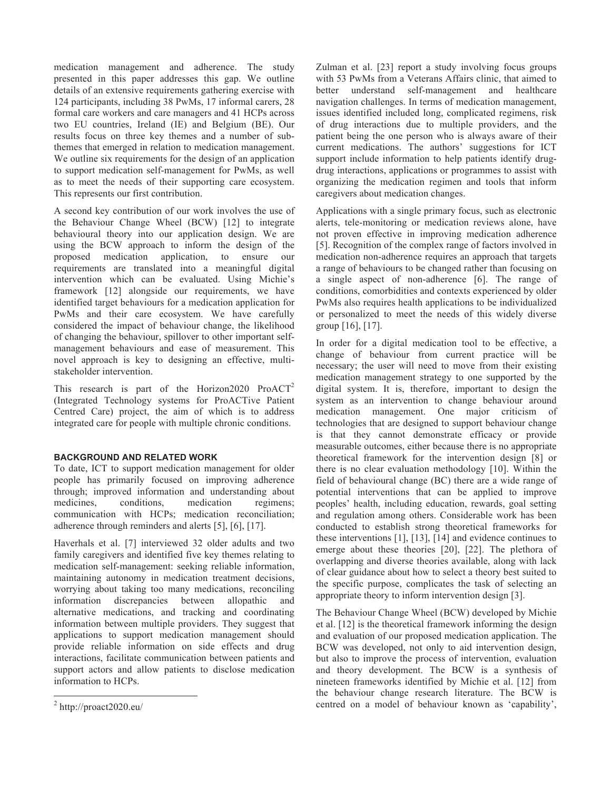medication management and adherence. The study presented in this paper addresses this gap. We outline details of an extensive requirements gathering exercise with 124 participants, including 38 PwMs, 17 informal carers, 28 formal care workers and care managers and 41 HCPs across two EU countries, Ireland (IE) and Belgium (BE). Our results focus on three key themes and a number of subthemes that emerged in relation to medication management. We outline six requirements for the design of an application to support medication self-management for PwMs, as well as to meet the needs of their supporting care ecosystem. This represents our first contribution.

A second key contribution of our work involves the use of the Behaviour Change Wheel (BCW) [12] to integrate behavioural theory into our application design. We are using the BCW approach to inform the design of the proposed medication application, to ensure our requirements are translated into a meaningful digital intervention which can be evaluated. Using Michie's framework [12] alongside our requirements, we have identified target behaviours for a medication application for PwMs and their care ecosystem. We have carefully considered the impact of behaviour change, the likelihood of changing the behaviour, spillover to other important selfmanagement behaviours and ease of measurement. This novel approach is key to designing an effective, multistakeholder intervention.

This research is part of the Horizon2020 ProACT<sup>2</sup> (Integrated Technology systems for ProACTive Patient Centred Care) project, the aim of which is to address integrated care for people with multiple chronic conditions.

# **BACKGROUND AND RELATED WORK**

To date, ICT to support medication management for older people has primarily focused on improving adherence through; improved information and understanding about medicines, conditions, medication regimens; communication with HCPs; medication reconciliation; adherence through reminders and alerts [5], [6], [17].

Haverhals et al. [7] interviewed 32 older adults and two family caregivers and identified five key themes relating to medication self-management: seeking reliable information, maintaining autonomy in medication treatment decisions, worrying about taking too many medications, reconciling information discrepancies between allopathic and alternative medications, and tracking and coordinating information between multiple providers. They suggest that applications to support medication management should provide reliable information on side effects and drug interactions, facilitate communication between patients and support actors and allow patients to disclose medication information to HCPs.

 $\overline{a}$ 

Zulman et al. [23] report a study involving focus groups with 53 PwMs from a Veterans Affairs clinic, that aimed to better understand self-management and healthcare navigation challenges. In terms of medication management, issues identified included long, complicated regimens, risk of drug interactions due to multiple providers, and the patient being the one person who is always aware of their current medications. The authors' suggestions for ICT support include information to help patients identify drugdrug interactions, applications or programmes to assist with organizing the medication regimen and tools that inform caregivers about medication changes.

Applications with a single primary focus, such as electronic alerts, tele-monitoring or medication reviews alone, have not proven effective in improving medication adherence [5]. Recognition of the complex range of factors involved in medication non-adherence requires an approach that targets a range of behaviours to be changed rather than focusing on a single aspect of non-adherence [6]. The range of conditions, comorbidities and contexts experienced by older PwMs also requires health applications to be individualized or personalized to meet the needs of this widely diverse group [16], [17].

In order for a digital medication tool to be effective, a change of behaviour from current practice will be necessary; the user will need to move from their existing medication management strategy to one supported by the digital system. It is, therefore, important to design the system as an intervention to change behaviour around medication management. One major criticism of technologies that are designed to support behaviour change is that they cannot demonstrate efficacy or provide measurable outcomes, either because there is no appropriate theoretical framework for the intervention design [8] or there is no clear evaluation methodology [10]. Within the field of behavioural change (BC) there are a wide range of potential interventions that can be applied to improve peoples' health, including education, rewards, goal setting and regulation among others. Considerable work has been conducted to establish strong theoretical frameworks for these interventions [1], [13], [14] and evidence continues to emerge about these theories [20], [22]. The plethora of overlapping and diverse theories available, along with lack of clear guidance about how to select a theory best suited to the specific purpose, complicates the task of selecting an appropriate theory to inform intervention design [3].

The Behaviour Change Wheel (BCW) developed by Michie et al. [12] is the theoretical framework informing the design and evaluation of our proposed medication application. The BCW was developed, not only to aid intervention design, but also to improve the process of intervention, evaluation and theory development. The BCW is a synthesis of nineteen frameworks identified by Michie et al. [12] from the behaviour change research literature. The BCW is centred on a model of behaviour known as 'capability',

 $2^2$  http://proact2020.eu/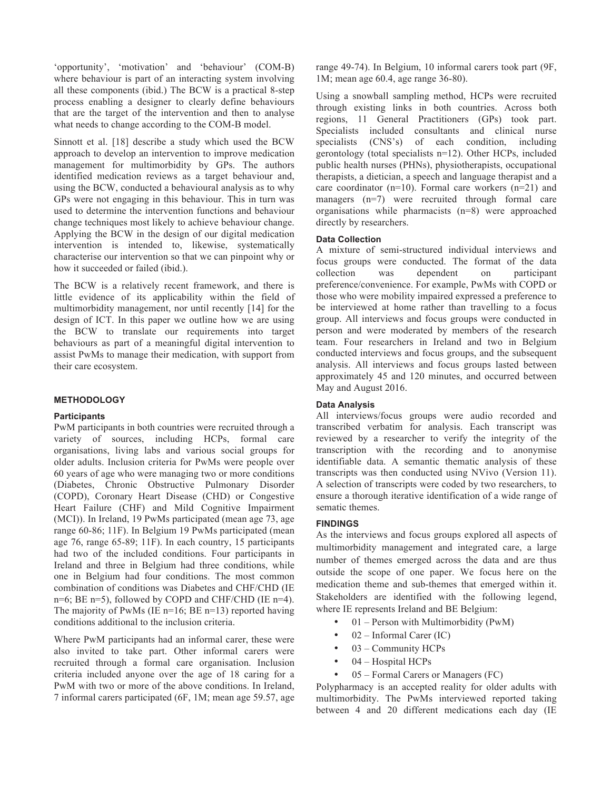'opportunity', 'motivation' and 'behaviour' (COM-B) where behaviour is part of an interacting system involving all these components (ibid.) The BCW is a practical 8-step process enabling a designer to clearly define behaviours that are the target of the intervention and then to analyse what needs to change according to the COM-B model.

Sinnott et al. [18] describe a study which used the BCW approach to develop an intervention to improve medication management for multimorbidity by GPs. The authors identified medication reviews as a target behaviour and, using the BCW, conducted a behavioural analysis as to why GPs were not engaging in this behaviour. This in turn was used to determine the intervention functions and behaviour change techniques most likely to achieve behaviour change. Applying the BCW in the design of our digital medication intervention is intended to, likewise, systematically characterise our intervention so that we can pinpoint why or how it succeeded or failed (ibid.).

The BCW is a relatively recent framework, and there is little evidence of its applicability within the field of multimorbidity management, nor until recently [14] for the design of ICT. In this paper we outline how we are using the BCW to translate our requirements into target behaviours as part of a meaningful digital intervention to assist PwMs to manage their medication, with support from their care ecosystem.

#### **METHODOLOGY**

#### **Participants**

PwM participants in both countries were recruited through a variety of sources, including HCPs, formal care organisations, living labs and various social groups for older adults. Inclusion criteria for PwMs were people over 60 years of age who were managing two or more conditions (Diabetes, Chronic Obstructive Pulmonary Disorder (COPD), Coronary Heart Disease (CHD) or Congestive Heart Failure (CHF) and Mild Cognitive Impairment (MCI)). In Ireland, 19 PwMs participated (mean age 73, age range 60-86; 11F). In Belgium 19 PwMs participated (mean age 76, range 65-89; 11F). In each country, 15 participants had two of the included conditions. Four participants in Ireland and three in Belgium had three conditions, while one in Belgium had four conditions. The most common combination of conditions was Diabetes and CHF/CHD (IE n=6; BE n=5), followed by COPD and CHF/CHD (IE n=4). The majority of PwMs (IE  $n=16$ ; BE  $n=13$ ) reported having conditions additional to the inclusion criteria.

Where PwM participants had an informal carer, these were also invited to take part. Other informal carers were recruited through a formal care organisation. Inclusion criteria included anyone over the age of 18 caring for a PwM with two or more of the above conditions. In Ireland, 7 informal carers participated (6F, 1M; mean age 59.57, age range 49-74). In Belgium, 10 informal carers took part (9F, 1M; mean age 60.4, age range 36-80).

Using a snowball sampling method, HCPs were recruited through existing links in both countries. Across both regions, 11 General Practitioners (GPs) took part. Specialists included consultants and clinical nurse specialists (CNS's) of each condition, including gerontology (total specialists n=12). Other HCPs, included public health nurses (PHNs), physiotherapists, occupational therapists, a dietician, a speech and language therapist and a care coordinator  $(n=10)$ . Formal care workers  $(n=21)$  and managers (n=7) were recruited through formal care organisations while pharmacists (n=8) were approached directly by researchers.

#### **Data Collection**

A mixture of semi-structured individual interviews and focus groups were conducted. The format of the data collection was dependent on participant preference/convenience. For example, PwMs with COPD or those who were mobility impaired expressed a preference to be interviewed at home rather than travelling to a focus group. All interviews and focus groups were conducted in person and were moderated by members of the research team. Four researchers in Ireland and two in Belgium conducted interviews and focus groups, and the subsequent analysis. All interviews and focus groups lasted between approximately 45 and 120 minutes, and occurred between May and August 2016.

#### **Data Analysis**

All interviews/focus groups were audio recorded and transcribed verbatim for analysis. Each transcript was reviewed by a researcher to verify the integrity of the transcription with the recording and to anonymise identifiable data. A semantic thematic analysis of these transcripts was then conducted using NVivo (Version 11). A selection of transcripts were coded by two researchers, to ensure a thorough iterative identification of a wide range of sematic themes.

#### **FINDINGS**

As the interviews and focus groups explored all aspects of multimorbidity management and integrated care, a large number of themes emerged across the data and are thus outside the scope of one paper. We focus here on the medication theme and sub-themes that emerged within it. Stakeholders are identified with the following legend, where IE represents Ireland and BE Belgium:

- 01 Person with Multimorbidity (PwM)
- 02 Informal Carer (IC)
- 03 Community HCPs
- 04 Hospital HCPs
- 05 Formal Carers or Managers (FC)

Polypharmacy is an accepted reality for older adults with multimorbidity. The PwMs interviewed reported taking between 4 and 20 different medications each day (IE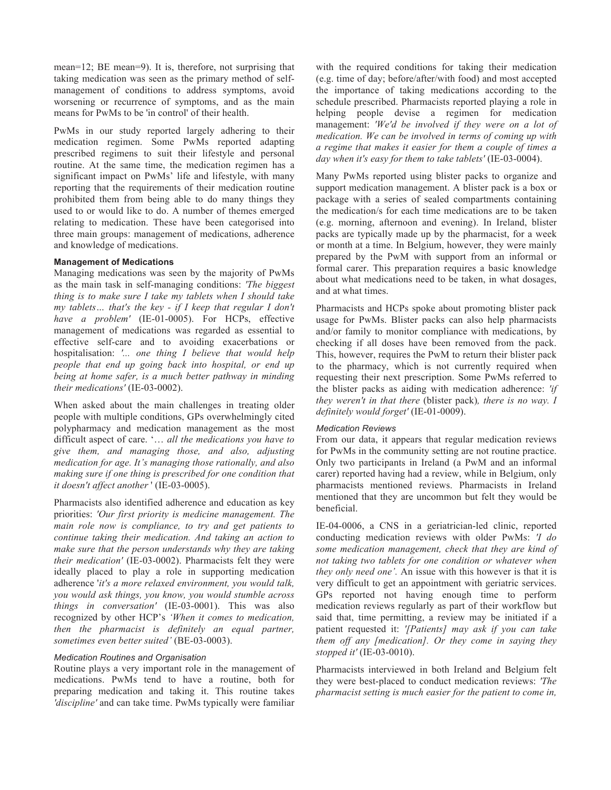mean=12; BE mean=9). It is, therefore, not surprising that taking medication was seen as the primary method of selfmanagement of conditions to address symptoms, avoid worsening or recurrence of symptoms, and as the main means for PwMs to be 'in control' of their health.

PwMs in our study reported largely adhering to their medication regimen. Some PwMs reported adapting prescribed regimens to suit their lifestyle and personal routine. At the same time, the medication regimen has a significant impact on PwMs' life and lifestyle, with many reporting that the requirements of their medication routine prohibited them from being able to do many things they used to or would like to do. A number of themes emerged relating to medication. These have been categorised into three main groups: management of medications, adherence and knowledge of medications.

#### **Management of Medications**

Managing medications was seen by the majority of PwMs as the main task in self-managing conditions: *'The biggest thing is to make sure I take my tablets when I should take my tablets… that's the key - if I keep that regular I don't have a problem'* (IE-01-0005). For HCPs, effective management of medications was regarded as essential to effective self-care and to avoiding exacerbations or hospitalisation: *'... one thing I believe that would help people that end up going back into hospital, or end up being at home safer, is a much better pathway in minding their medications'* (IE-03-0002).

When asked about the main challenges in treating older people with multiple conditions, GPs overwhelmingly cited polypharmacy and medication management as the most difficult aspect of care. '… *all the medications you have to give them, and managing those, and also, adjusting medication for age. It's managing those rationally, and also making sure if one thing is prescribed for one condition that it doesn't affect another* ' (IE-03-0005).

Pharmacists also identified adherence and education as key priorities: *'Our first priority is medicine management. The main role now is compliance, to try and get patients to continue taking their medication. And taking an action to make sure that the person understands why they are taking their medication'* (IE-03-0002). Pharmacists felt they were ideally placed to play a role in supporting medication adherence '*it's a more relaxed environment, you would talk, you would ask things, you know, you would stumble across things in conversation'* (IE-03-0001). This was also recognized by other HCP's *'When it comes to medication, then the pharmacist is definitely an equal partner, sometimes even better suited'* (BE-03-0003).

#### *Medication Routines and Organisation*

Routine plays a very important role in the management of medications. PwMs tend to have a routine, both for preparing medication and taking it. This routine takes *'discipline'* and can take time. PwMs typically were familiar

with the required conditions for taking their medication (e.g. time of day; before/after/with food) and most accepted the importance of taking medications according to the schedule prescribed. Pharmacists reported playing a role in helping people devise a regimen for medication management: *'We'd be involved if they were on a lot of medication. We can be involved in terms of coming up with a regime that makes it easier for them a couple of times a day when it's easy for them to take tablets'* (IE-03-0004).

Many PwMs reported using blister packs to organize and support medication management. A blister pack is a box or package with a series of sealed compartments containing the medication/s for each time medications are to be taken (e.g. morning, afternoon and evening). In Ireland, blister packs are typically made up by the pharmacist, for a week or month at a time. In Belgium, however, they were mainly prepared by the PwM with support from an informal or formal carer. This preparation requires a basic knowledge about what medications need to be taken, in what dosages, and at what times.

Pharmacists and HCPs spoke about promoting blister pack usage for PwMs. Blister packs can also help pharmacists and/or family to monitor compliance with medications, by checking if all doses have been removed from the pack. This, however, requires the PwM to return their blister pack to the pharmacy, which is not currently required when requesting their next prescription. Some PwMs referred to the blister packs as aiding with medication adherence: *'if they weren't in that there* (blister pack)*, there is no way. I definitely would forget'* (IE-01-0009).

#### *Medication Reviews*

From our data, it appears that regular medication reviews for PwMs in the community setting are not routine practice. Only two participants in Ireland (a PwM and an informal carer) reported having had a review, while in Belgium, only pharmacists mentioned reviews. Pharmacists in Ireland mentioned that they are uncommon but felt they would be beneficial.

IE-04-0006, a CNS in a geriatrician-led clinic, reported conducting medication reviews with older PwMs: *'I do some medication management, check that they are kind of not taking two tablets for one condition or whatever when they only need one'.* An issue with this however is that it is very difficult to get an appointment with geriatric services. GPs reported not having enough time to perform medication reviews regularly as part of their workflow but said that, time permitting, a review may be initiated if a patient requested it: *'[Patients] may ask if you can take them off any [medication]. Or they come in saying they stopped it'* (IE-03-0010).

Pharmacists interviewed in both Ireland and Belgium felt they were best-placed to conduct medication reviews: *'The pharmacist setting is much easier for the patient to come in,*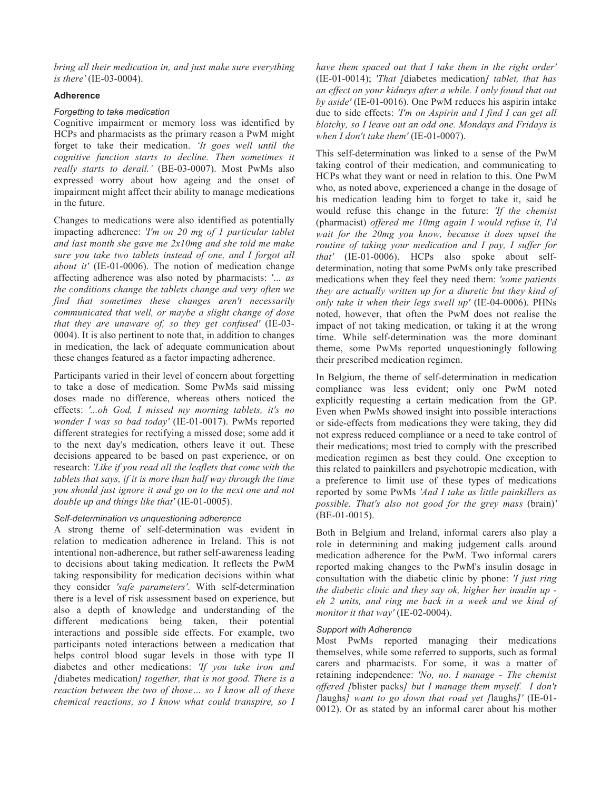*bring all their medication in, and just make sure everything is there'* (IE-03-0004).

# **Adherence**

#### *Forgetting to take medication*

Cognitive impairment or memory loss was identified by HCPs and pharmacists as the primary reason a PwM might forget to take their medication. *'It goes well until the cognitive function starts to decline. Then sometimes it really starts to derail.'* (BE-03-0007). Most PwMs also expressed worry about how ageing and the onset of impairment might affect their ability to manage medications in the future.

Changes to medications were also identified as potentially impacting adherence: *'I'm on 20 mg of 1 particular tablet and last month she gave me 2x10mg and she told me make sure you take two tablets instead of one, and I forgot all about it'* (IE-01-0006). The notion of medication change affecting adherence was also noted by pharmacists: *'… as the conditions change the tablets change and very often we find that sometimes these changes aren't necessarily communicated that well, or maybe a slight change of dose that they are unaware of, so they get confused'* (IE-03- 0004). It is also pertinent to note that, in addition to changes in medication, the lack of adequate communication about these changes featured as a factor impacting adherence.

Participants varied in their level of concern about forgetting to take a dose of medication. Some PwMs said missing doses made no difference, whereas others noticed the effects: *'...oh God, I missed my morning tablets, it's no wonder I was so bad today'* (IE-01-0017). PwMs reported different strategies for rectifying a missed dose; some add it to the next day's medication, others leave it out. These decisions appeared to be based on past experience, or on research: *'Like if you read all the leaflets that come with the tablets that says, if it is more than half way through the time you should just ignore it and go on to the next one and not double up and things like that'* (IE-01-0005).

### *Self-determination vs unquestioning adherence*

A strong theme of self-determination was evident in relation to medication adherence in Ireland. This is not intentional non-adherence, but rather self-awareness leading to decisions about taking medication. It reflects the PwM taking responsibility for medication decisions within what they consider *'safe parameters'*. With self-determination there is a level of risk assessment based on experience, but also a depth of knowledge and understanding of the different medications being taken, their potential interactions and possible side effects. For example, two participants noted interactions between a medication that helps control blood sugar levels in those with type II diabetes and other medications: *'If you take iron and [*diabetes medication*] together, that is not good. There is a reaction between the two of those… so I know all of these chemical reactions, so I know what could transpire, so I*  *have them spaced out that I take them in the right order'*  (IE-01-0014); *'That [*diabetes medication*] tablet, that has an effect on your kidneys after a while. I only found that out by aside'* (IE-01-0016). One PwM reduces his aspirin intake due to side effects: *'I'm on Aspirin and I find I can get all blotchy, so I leave out an odd one. Mondays and Fridays is when I don't take them'* (IE-01-0007).

This self-determination was linked to a sense of the PwM taking control of their medication, and communicating to HCPs what they want or need in relation to this. One PwM who, as noted above, experienced a change in the dosage of his medication leading him to forget to take it, said he would refuse this change in the future: *'If the chemist*  (pharmacist) *offered me 10mg again I would refuse it, I'd wait for the 20mg you know, because it does upset the routine of taking your medication and I pay, I suffer for that'* (IE-01-0006). HCPs also spoke about selfdetermination, noting that some PwMs only take prescribed medications when they feel they need them: *'some patients they are actually written up for a diuretic but they kind of only take it when their legs swell up'* (IE-04-0006). PHNs noted, however, that often the PwM does not realise the impact of not taking medication, or taking it at the wrong time. While self-determination was the more dominant theme, some PwMs reported unquestioningly following their prescribed medication regimen.

In Belgium, the theme of self-determination in medication compliance was less evident; only one PwM noted explicitly requesting a certain medication from the GP. Even when PwMs showed insight into possible interactions or side-effects from medications they were taking, they did not express reduced compliance or a need to take control of their medications; most tried to comply with the prescribed medication regimen as best they could. One exception to this related to painkillers and psychotropic medication, with a preference to limit use of these types of medications reported by some PwMs *'And I take as little painkillers as possible. That's also not good for the grey mass* (brain)*'* (BE-01-0015).

Both in Belgium and Ireland, informal carers also play a role in determining and making judgement calls around medication adherence for the PwM. Two informal carers reported making changes to the PwM's insulin dosage in consultation with the diabetic clinic by phone: *'I just ring the diabetic clinic and they say ok, higher her insulin up eh 2 units, and ring me back in a week and we kind of monitor it that way'* (IE-02-0004).

### *Support with Adherence*

Most PwMs reported managing their medications themselves, while some referred to supports, such as formal carers and pharmacists. For some, it was a matter of retaining independence: *'No, no. I manage - The chemist offered [*blister packs*] but I manage them myself. I don't [*laughs*] want to go down that road yet [*laughs*]'* (IE-01- 0012). Or as stated by an informal carer about his mother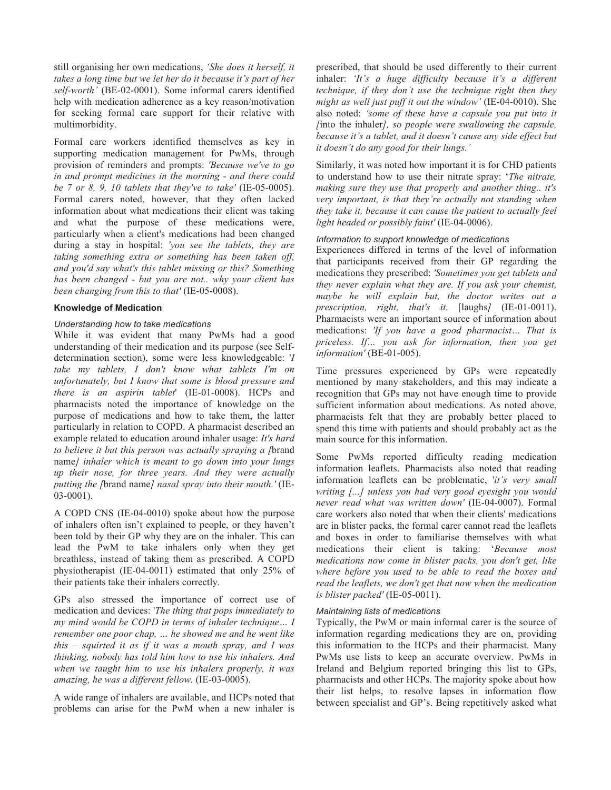still organising her own medications, *'She does it herself, it takes a long time but we let her do it because it's part of her self-worth'* (BE-02-0001). Some informal carers identified help with medication adherence as a key reason/motivation for seeking formal care support for their relative with multimorbidity.

Formal care workers identified themselves as key in supporting medication management for PwMs, through provision of reminders and prompts: *'Because we've to go in and prompt medicines in the morning - and there could be 7 or 8, 9, 10 tablets that they've to take'* (IE-05-0005). Formal carers noted, however, that they often lacked information about what medications their client was taking and what the purpose of these medications were, particularly when a client's medications had been changed during a stay in hospital: *'you see the tablets, they are taking something extra or something has been taken off, and you'd say what's this tablet missing or this? Something has been changed - but you are not.. why your client has been changing from this to that'* (IE-05-0008).

#### **Knowledge of Medication**

#### *Understanding how to take medications*

While it was evident that many PwMs had a good understanding of their medication and its purpose (see Selfdetermination section), some were less knowledgeable: '*I take my tablets, I don't know what tablets I'm on unfortunately, but I know that some is blood pressure and there is an aspirin tablet*' (IE-01-0008). HCPs and pharmacists noted the importance of knowledge on the purpose of medications and how to take them, the latter particularly in relation to COPD. A pharmacist described an example related to education around inhaler usage: *It's hard to believe it but this person was actually spraying a [*brand name*] inhaler which is meant to go down into your lungs up their nose, for three years. And they were actually putting the [*brand name*] nasal spray into their mouth.'* (IE-03-0001).

A COPD CNS (IE-04-0010) spoke about how the purpose of inhalers often isn't explained to people, or they haven't been told by their GP why they are on the inhaler. This can lead the PwM to take inhalers only when they get breathless, instead of taking them as prescribed. A COPD physiotherapist (IE-04-0011) estimated that only 25% of their patients take their inhalers correctly.

GPs also stressed the importance of correct use of medication and devices: '*The thing that pops immediately to my mind would be COPD in terms of inhaler technique… I remember one poor chap, … he showed me and he went like this – squirted it as if it was a mouth spray, and I was thinking, nobody has told him how to use his inhalers. And when we taught him to use his inhalers properly, it was amazing, he was a different fellow.* (IE-03-0005).

A wide range of inhalers are available, and HCPs noted that problems can arise for the PwM when a new inhaler is

prescribed, that should be used differently to their current inhaler: *'It's a huge difficulty because it's a different technique, if they don't use the technique right then they might as well just puff it out the window'* (IE-04-0010). She also noted: *'some of these have a capsule you put into it [*into the inhaler*], so people were swallowing the capsule, because it's a tablet, and it doesn't cause any side effect but it doesn't do any good for their lungs.'*

Similarly, it was noted how important it is for CHD patients to understand how to use their nitrate spray: '*The nitrate, making sure they use that properly and another thing.. it's very important, is that they're actually not standing when they take it, because it can cause the patient to actually feel light headed or possibly faint'* (IE-04-0006).

#### *Information to support knowledge of medications*

Experiences differed in terms of the level of information that participants received from their GP regarding the medications they prescribed: *'Sometimes you get tablets and they never explain what they are. If you ask your chemist, maybe he will explain but, the doctor writes out a prescription, right, that's it.* [laughs*]* (IE-01-0011). Pharmacists were an important source of information about medications: *'If you have a good pharmacist… That is priceless. If… you ask for information, then you get information'* (BE-01-005).

Time pressures experienced by GPs were repeatedly mentioned by many stakeholders, and this may indicate a recognition that GPs may not have enough time to provide sufficient information about medications. As noted above, pharmacists felt that they are probably better placed to spend this time with patients and should probably act as the main source for this information.

Some PwMs reported difficulty reading medication information leaflets. Pharmacists also noted that reading information leaflets can be problematic, '*it's very small writing [...] unless you had very good eyesight you would never read what was written down'* (IE-04-0007). Formal care workers also noted that when their clients' medications are in blister packs, the formal carer cannot read the leaflets and boxes in order to familiarise themselves with what medications their client is taking: '*Because most medications now come in blister packs, you don't get, like where before you used to be able to read the boxes and read the leaflets, we don't get that now when the medication is blister packed'* (IE-05-0011).

### *Maintaining lists of medications*

Typically, the PwM or main informal carer is the source of information regarding medications they are on, providing this information to the HCPs and their pharmacist. Many PwMs use lists to keep an accurate overview. PwMs in Ireland and Belgium reported bringing this list to GPs, pharmacists and other HCPs. The majority spoke about how their list helps, to resolve lapses in information flow between specialist and GP's. Being repetitively asked what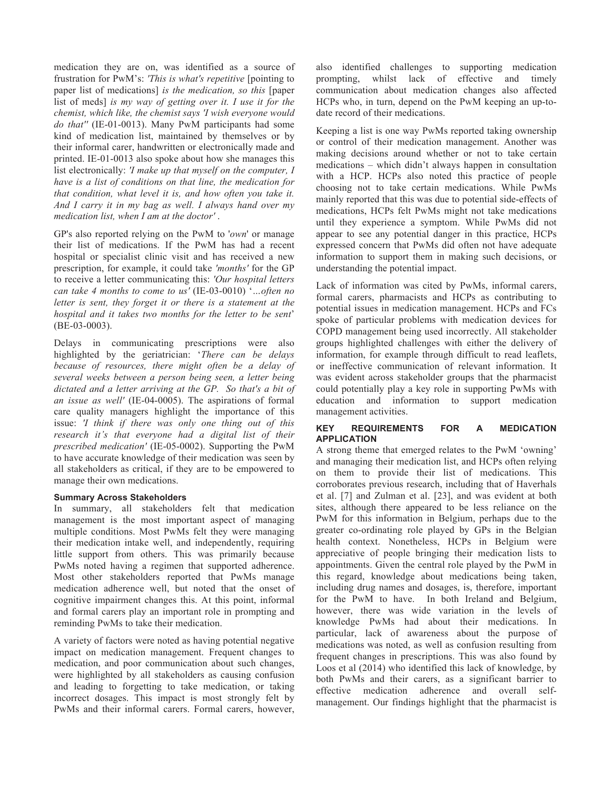medication they are on, was identified as a source of frustration for PwM's: *'This is what's repetitive* [pointing to paper list of medications] *is the medication, so this* [paper list of meds] *is my way of getting over it. I use it for the chemist, which like, the chemist says 'I wish everyone would do that''* (IE-01-0013). Many PwM participants had some kind of medication list, maintained by themselves or by their informal carer, handwritten or electronically made and printed. IE-01-0013 also spoke about how she manages this list electronically: *'I make up that myself on the computer, I have is a list of conditions on that line, the medication for that condition, what level it is, and how often you take it. And I carry it in my bag as well. I always hand over my medication list, when I am at the doctor'* .

GP's also reported relying on the PwM to '*own*' or manage their list of medications. If the PwM has had a recent hospital or specialist clinic visit and has received a new prescription, for example, it could take *'months'* for the GP to receive a letter communicating this: *'Our hospital letters can take 4 months to come to us'* (IE-03-0010) '*…often no letter is sent, they forget it or there is a statement at the hospital and it takes two months for the letter to be sent*' (BE-03-0003).

Delays in communicating prescriptions were also highlighted by the geriatrician: '*There can be delays because of resources, there might often be a delay of several weeks between a person being seen, a letter being dictated and a letter arriving at the GP. So that's a bit of an issue as well'* (IE-04-0005). The aspirations of formal care quality managers highlight the importance of this issue: *'I think if there was only one thing out of this research it's that everyone had a digital list of their prescribed medication'* (IE-05-0002). Supporting the PwM to have accurate knowledge of their medication was seen by all stakeholders as critical, if they are to be empowered to manage their own medications.

### **Summary Across Stakeholders**

In summary, all stakeholders felt that medication management is the most important aspect of managing multiple conditions. Most PwMs felt they were managing their medication intake well, and independently, requiring little support from others. This was primarily because PwMs noted having a regimen that supported adherence. Most other stakeholders reported that PwMs manage medication adherence well, but noted that the onset of cognitive impairment changes this. At this point, informal and formal carers play an important role in prompting and reminding PwMs to take their medication.

A variety of factors were noted as having potential negative impact on medication management. Frequent changes to medication, and poor communication about such changes, were highlighted by all stakeholders as causing confusion and leading to forgetting to take medication, or taking incorrect dosages. This impact is most strongly felt by PwMs and their informal carers. Formal carers, however, also identified challenges to supporting medication prompting, whilst lack of effective and timely communication about medication changes also affected HCPs who, in turn, depend on the PwM keeping an up-todate record of their medications.

Keeping a list is one way PwMs reported taking ownership or control of their medication management. Another was making decisions around whether or not to take certain medications – which didn't always happen in consultation with a HCP. HCPs also noted this practice of people choosing not to take certain medications. While PwMs mainly reported that this was due to potential side-effects of medications, HCPs felt PwMs might not take medications until they experience a symptom. While PwMs did not appear to see any potential danger in this practice, HCPs expressed concern that PwMs did often not have adequate information to support them in making such decisions, or understanding the potential impact.

Lack of information was cited by PwMs, informal carers, formal carers, pharmacists and HCPs as contributing to potential issues in medication management. HCPs and FCs spoke of particular problems with medication devices for COPD management being used incorrectly. All stakeholder groups highlighted challenges with either the delivery of information, for example through difficult to read leaflets, or ineffective communication of relevant information. It was evident across stakeholder groups that the pharmacist could potentially play a key role in supporting PwMs with education and information to support medication management activities.

#### **KEY REQUIREMENTS FOR A MEDICATION APPLICATION**

A strong theme that emerged relates to the PwM 'owning' and managing their medication list, and HCPs often relying on them to provide their list of medications. This corroborates previous research, including that of Haverhals et al. [7] and Zulman et al. [23], and was evident at both sites, although there appeared to be less reliance on the PwM for this information in Belgium, perhaps due to the greater co-ordinating role played by GPs in the Belgian health context. Nonetheless, HCPs in Belgium were appreciative of people bringing their medication lists to appointments. Given the central role played by the PwM in this regard, knowledge about medications being taken, including drug names and dosages, is, therefore, important for the PwM to have. In both Ireland and Belgium, however, there was wide variation in the levels of knowledge PwMs had about their medications. In particular, lack of awareness about the purpose of medications was noted, as well as confusion resulting from frequent changes in prescriptions. This was also found by Loos et al (2014) who identified this lack of knowledge, by both PwMs and their carers, as a significant barrier to effective medication adherence and overall selfmanagement. Our findings highlight that the pharmacist is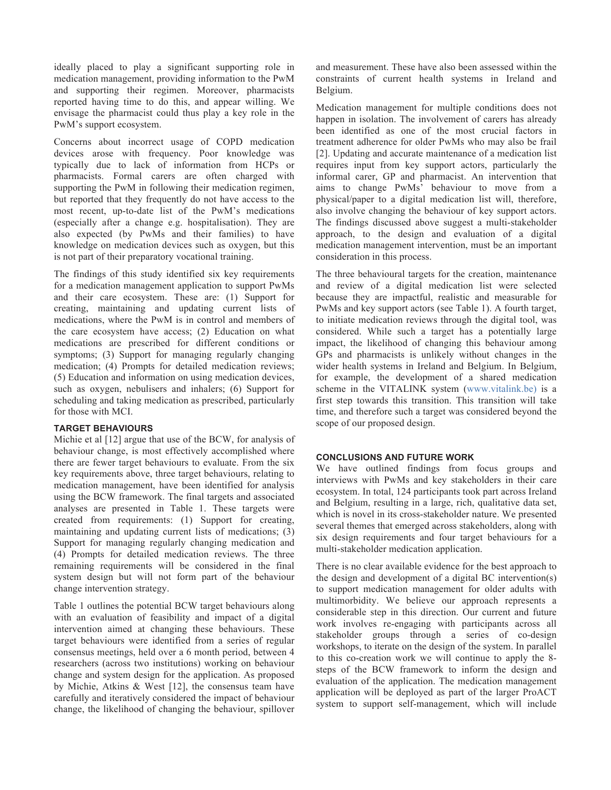ideally placed to play a significant supporting role in medication management, providing information to the PwM and supporting their regimen. Moreover, pharmacists reported having time to do this, and appear willing. We envisage the pharmacist could thus play a key role in the PwM's support ecosystem.

Concerns about incorrect usage of COPD medication devices arose with frequency. Poor knowledge was typically due to lack of information from HCPs or pharmacists. Formal carers are often charged with supporting the PwM in following their medication regimen, but reported that they frequently do not have access to the most recent, up-to-date list of the PwM's medications (especially after a change e.g. hospitalisation). They are also expected (by PwMs and their families) to have knowledge on medication devices such as oxygen, but this is not part of their preparatory vocational training.

The findings of this study identified six key requirements for a medication management application to support PwMs and their care ecosystem. These are: (1) Support for creating, maintaining and updating current lists of medications, where the PwM is in control and members of the care ecosystem have access; (2) Education on what medications are prescribed for different conditions or symptoms; (3) Support for managing regularly changing medication; (4) Prompts for detailed medication reviews; (5) Education and information on using medication devices, such as oxygen, nebulisers and inhalers; (6) Support for scheduling and taking medication as prescribed, particularly for those with MCI.

# **TARGET BEHAVIOURS**

Michie et al [12] argue that use of the BCW, for analysis of behaviour change, is most effectively accomplished where there are fewer target behaviours to evaluate. From the six key requirements above, three target behaviours, relating to medication management, have been identified for analysis using the BCW framework. The final targets and associated analyses are presented in Table 1. These targets were created from requirements: (1) Support for creating, maintaining and updating current lists of medications; (3) Support for managing regularly changing medication and (4) Prompts for detailed medication reviews. The three remaining requirements will be considered in the final system design but will not form part of the behaviour change intervention strategy.

Table 1 outlines the potential BCW target behaviours along with an evaluation of feasibility and impact of a digital intervention aimed at changing these behaviours. These target behaviours were identified from a series of regular consensus meetings, held over a 6 month period, between 4 researchers (across two institutions) working on behaviour change and system design for the application. As proposed by Michie, Atkins & West [12], the consensus team have carefully and iteratively considered the impact of behaviour change, the likelihood of changing the behaviour, spillover and measurement. These have also been assessed within the constraints of current health systems in Ireland and Belgium.

Medication management for multiple conditions does not happen in isolation. The involvement of carers has already been identified as one of the most crucial factors in treatment adherence for older PwMs who may also be frail [2]. Updating and accurate maintenance of a medication list requires input from key support actors, particularly the informal carer, GP and pharmacist. An intervention that aims to change PwMs' behaviour to move from a physical/paper to a digital medication list will, therefore, also involve changing the behaviour of key support actors. The findings discussed above suggest a multi-stakeholder approach, to the design and evaluation of a digital medication management intervention, must be an important consideration in this process.

The three behavioural targets for the creation, maintenance and review of a digital medication list were selected because they are impactful, realistic and measurable for PwMs and key support actors (see Table 1). A fourth target, to initiate medication reviews through the digital tool, was considered. While such a target has a potentially large impact, the likelihood of changing this behaviour among GPs and pharmacists is unlikely without changes in the wider health systems in Ireland and Belgium. In Belgium, for example, the development of a shared medication scheme in the VITALINK system (www.vitalink.be) is a first step towards this transition. This transition will take time, and therefore such a target was considered beyond the scope of our proposed design.

#### **CONCLUSIONS AND FUTURE WORK**

We have outlined findings from focus groups and interviews with PwMs and key stakeholders in their care ecosystem. In total, 124 participants took part across Ireland and Belgium, resulting in a large, rich, qualitative data set, which is novel in its cross-stakeholder nature. We presented several themes that emerged across stakeholders, along with six design requirements and four target behaviours for a multi-stakeholder medication application.

There is no clear available evidence for the best approach to the design and development of a digital BC intervention(s) to support medication management for older adults with multimorbidity. We believe our approach represents a considerable step in this direction. Our current and future work involves re-engaging with participants across all stakeholder groups through a series of co-design workshops, to iterate on the design of the system. In parallel to this co-creation work we will continue to apply the 8 steps of the BCW framework to inform the design and evaluation of the application. The medication management application will be deployed as part of the larger ProACT system to support self-management, which will include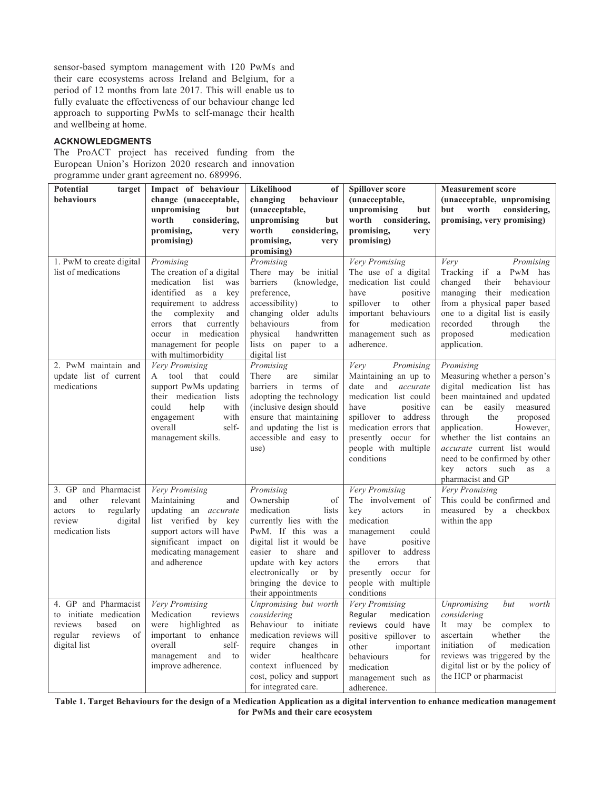sensor-based symptom management with 120 PwMs and their care ecosystems across Ireland and Belgium, for a period of 12 months from late 2017. This will enable us to fully evaluate the effectiveness of our behaviour change led approach to supporting PwMs to self-manage their health and wellbeing at home.

# **ACKNOWLEDGMENTS**

The ProACT project has received funding from the European Union's Horizon 2020 research and innovation programme under grant agreement no. 689996.

| <b>Potential</b><br>target | Impact of behaviour         | Likelihood<br>of                 | <b>Spillover score</b>                      | <b>Measurement score</b>                                            |
|----------------------------|-----------------------------|----------------------------------|---------------------------------------------|---------------------------------------------------------------------|
| <b>behaviours</b>          | change (unacceptable,       | changing<br>behaviour            | (unacceptable,                              | (unacceptable, unpromising                                          |
|                            | unpromising<br>but          | (unacceptable,                   | unpromising<br>but                          | worth<br>but<br>considering,                                        |
|                            | worth<br>considering,       | unpromising<br>but               | worth considering,                          | promising, very promising)                                          |
|                            | promising,<br>very          | worth<br>considering,            | promising,<br>very                          |                                                                     |
|                            | promising)                  | promising,<br>very               | promising)                                  |                                                                     |
|                            |                             | promising)                       |                                             |                                                                     |
| 1. PwM to create digital   | Promising                   | Promising                        | <b>Very Promising</b>                       | Very<br>Promising                                                   |
| list of medications        | The creation of a digital   | There may be initial             | The use of a digital                        | Tracking if a PwM has                                               |
|                            | medication list<br>was      | barriers<br>(knowledge,          | medication list could                       | changed<br>their<br>behaviour                                       |
|                            | identified as a<br>key      | preference.                      | have<br>positive                            | managing their medication                                           |
|                            | requirement to address      | accessibility)<br>to             | spillover<br>to other                       | from a physical paper based                                         |
|                            | the complexity<br>and       | changing older adults            | important behaviours                        | one to a digital list is easily                                     |
|                            | that currently<br>errors    | behaviours<br>from               | for<br>medication                           | recorded<br>through<br>the                                          |
|                            | in medication<br>occur      | physical<br>handwritten          | management such as                          | proposed<br>medication                                              |
|                            | management for people       | lists on paper to a              | adherence.                                  | application.                                                        |
|                            | with multimorbidity         | digital list                     |                                             |                                                                     |
| 2. PwM maintain and        | Very Promising              | Promising                        | Very<br>Promising                           | Promising                                                           |
| update list of current     | A tool that<br>could        | There<br>similar<br>are          | Maintaining an up to                        | Measuring whether a person's                                        |
| medications                | support PwMs updating       | barriers in terms of             | and accurate<br>date                        | digital medication list has                                         |
|                            | their medication lists      | adopting the technology          | medication list could                       | been maintained and updated                                         |
|                            | could<br>help<br>with       | (inclusive design should         | have<br>positive                            | can be easily<br>measured                                           |
|                            | with<br>engagement          | ensure that maintaining          | spillover to address                        | through<br>the<br>proposed                                          |
|                            | overall<br>self-            | and updating the list is         | medication errors that                      | application.<br>However,                                            |
|                            | management skills.          | accessible and easy to           | presently occur for<br>people with multiple | whether the list contains an                                        |
|                            |                             | use)                             | conditions                                  | <i>accurate</i> current list would<br>need to be confirmed by other |
|                            |                             |                                  |                                             | key actors<br>such<br>as<br>a <sup>-</sup>                          |
|                            |                             |                                  |                                             | pharmacist and GP                                                   |
| 3. GP and Pharmacist       | Very Promising              | Promising                        | Very Promising                              | Very Promising                                                      |
| other<br>relevant<br>and   | Maintaining<br>and          | Ownership<br>of                  | The involvement of                          | This could be confirmed and                                         |
| regularly<br>to<br>actors  | updating an <i>accurate</i> | medication<br>lists              | in<br>key<br>actors                         | measured by a checkbox                                              |
| review<br>digital          | list verified by key        | currently lies with the          | medication                                  | within the app                                                      |
| medication lists           | support actors will have    | PwM. If this was a               | management<br>could                         |                                                                     |
|                            | significant impact on       | digital list it would be         | have<br>positive                            |                                                                     |
|                            | medicating management       | easier to share and              | spillover to address                        |                                                                     |
|                            | and adherence               | update with key actors           | the<br>errors<br>that                       |                                                                     |
|                            |                             | electronically or<br>$_{\rm by}$ | presently occur for                         |                                                                     |
|                            |                             | bringing the device to           | people with multiple                        |                                                                     |
|                            |                             | their appointments               | conditions                                  |                                                                     |
| 4. GP and Pharmacist       | Very Promising              | Unpromising but worth            | Very Promising                              | Unpromising<br>but<br>worth                                         |
| to initiate medication     | Medication<br>reviews       | considering                      | Regular<br>medication                       | considering                                                         |
| reviews<br>based<br>on     | were highlighted<br>as      | Behaviour to initiate            | reviews could have                          | It may be complex<br>to                                             |
| regular<br>reviews<br>of   | important to enhance        | medication reviews will          | positive spillover to                       | whether<br>ascertain<br>the                                         |
| digital list               | overall<br>self-            | require<br>changes<br>in         | other<br>important                          | initiation<br>of<br>medication                                      |
|                            | management<br>and<br>to     | wider<br>healthcare              | behaviours<br>for                           | reviews was triggered by the                                        |
|                            | improve adherence.          | context influenced by            | medication                                  | digital list or by the policy of                                    |
|                            |                             | cost, policy and support         | management such as                          | the HCP or pharmacist                                               |
|                            |                             | for integrated care.             | adherence.                                  |                                                                     |

**Table 1. Target Behaviours for the design of a Medication Application as a digital intervention to enhance medication management for PwMs and their care ecosystem**